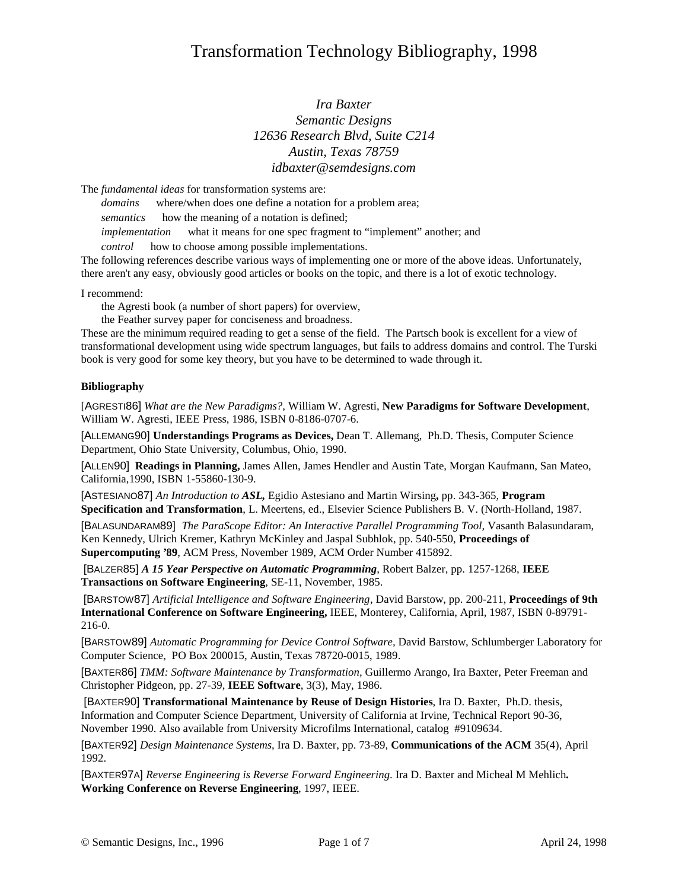## Transformation Technology Bibliography, 1998

## *Ira Baxter Semantic Designs 12636 Research Blvd, Suite C214 Austin, Texas 78759 idbaxter@semdesigns.com*

The *fundamental ideas* for transformation systems are:

*domains* — where/when does one define a notation for a problem area;

*semantics* — how the meaning of a notation is defined;

*implementation* — what it means for one spec fragment to "implement" another; and

*control* — how to choose among possible implementations.

The following references describe various ways of implementing one or more of the above ideas. Unfortunately, there aren't any easy, obviously good articles or books on the topic, and there is a lot of exotic technology.

I recommend:

the Agresti book (a number of short papers) for overview,

the Feather survey paper for conciseness and broadness.

These are the minimum required reading to get a sense of the field. The Partsch book is excellent for a view of transformational development using wide spectrum languages, but fails to address domains and control. The Turski book is very good for some key theory, but you have to be determined to wade through it.

## **Bibliography**

[AGRESTI86] *What are the New Paradigms?,* William W. Agresti, **New Paradigms for Software Development**, William W. Agresti, IEEE Press, 1986, ISBN 0-8186-0707-6.

[ALLEMANG90] **Understandings Programs as Devices,** Dean T. Allemang, Ph.D. Thesis, Computer Science Department, Ohio State University, Columbus, Ohio, 1990.

[ALLEN90] **Readings in Planning,** James Allen, James Hendler and Austin Tate, Morgan Kaufmann, San Mateo, California,1990, ISBN 1-55860-130-9.

[ASTESIANO87] *An Introduction to ASL,* Egidio Astesiano and Martin Wirsing**,** pp. 343-365, **Program Specification and Transformation**, L. Meertens, ed., Elsevier Science Publishers B. V. (North-Holland, 1987.

[BALASUNDARAM89] *The ParaScope Editor: An Interactive Parallel Programming Tool,* Vasanth Balasundaram, Ken Kennedy, Ulrich Kremer, Kathryn McKinley and Jaspal Subhlok, pp. 540-550, **Proceedings of Supercomputing '89**, ACM Press, November 1989, ACM Order Number 415892.

[BALZER85] *A 15 Year Perspective on Automatic Programming*, Robert Balzer, pp. 1257-1268, **IEEE Transactions on Software Engineering**, SE-11, November, 1985.

[BARSTOW87] *Artificial Intelligence and Software Engineering*, David Barstow, pp. 200-211, **Proceedings of 9th International Conference on Software Engineering,** IEEE, Monterey, California, April, 1987, ISBN 0-89791- 216-0.

[BARSTOW89] *Automatic Programming for Device Control Software,* David Barstow, Schlumberger Laboratory for Computer Science, PO Box 200015, Austin, Texas 78720-0015, 1989.

[BAXTER86] *TMM: Software Maintenance by Transformation,* Guillermo Arango, Ira Baxter, Peter Freeman and Christopher Pidgeon, pp. 27-39, **IEEE Software**, 3(3), May, 1986.

[BAXTER90] **Transformational Maintenance by Reuse of Design Histories**, Ira D. Baxter, Ph.D. thesis, Information and Computer Science Department, University of California at Irvine, Technical Report 90-36, November 1990. Also available from University Microfilms International, catalog #9109634.

[BAXTER92] *Design Maintenance Systems*, Ira D. Baxter, pp. 73-89, **Communications of the ACM** 35(4), April 1992.

[BAXTER97A] *Reverse Engineering is Reverse Forward Engineering*. Ira D. Baxter and Micheal M Mehlich**. Working Conference on Reverse Engineering**, 1997, IEEE.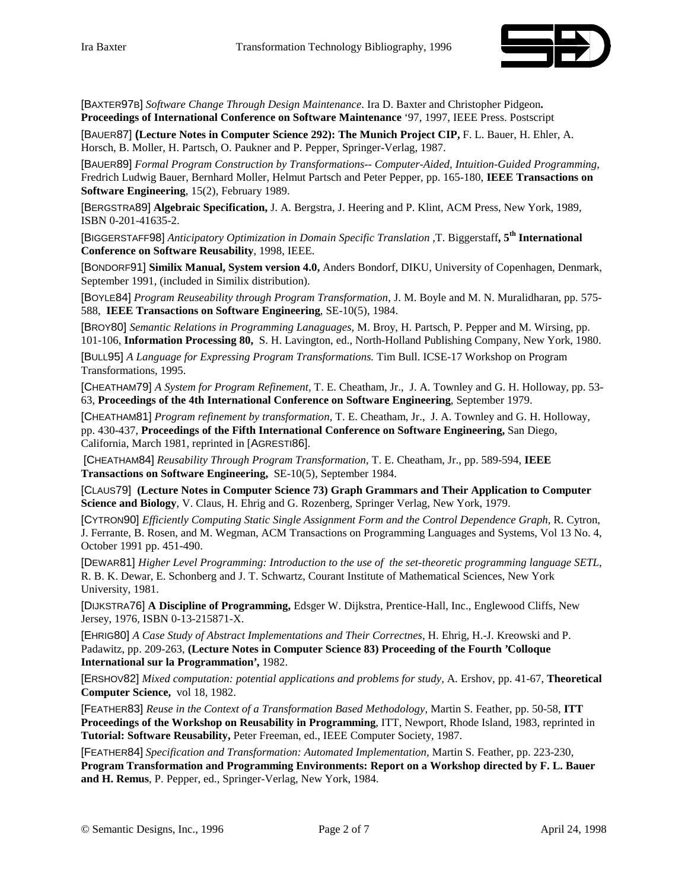

[BAXTER97B] *Software Change Through Design Maintenance*. Ira D. Baxter and Christopher Pidgeon**. Proceedings of International Conference on Software Maintenance** '97, 1997, IEEE Press. Postscript

[BAUER87] **(Lecture Notes in Computer Science 292): The Munich Project CIP,** F. L. Bauer, H. Ehler, A. Horsch, B. Moller, H. Partsch, O. Paukner and P. Pepper, Springer-Verlag, 1987.

[BAUER89] *Formal Program Construction by Transformations-- Computer-Aided, Intuition-Guided Programming,* Fredrich Ludwig Bauer, Bernhard Moller, Helmut Partsch and Peter Pepper, pp. 165-180, **IEEE Transactions on Software Engineering**, 15(2), February 1989.

[BERGSTRA89] **Algebraic Specification,** J. A. Bergstra, J. Heering and P. Klint, ACM Press, New York, 1989, ISBN 0-201-41635-2.

[BIGGERSTAFF98] *Anticipatory Optimization in Domain Specific Translation ,*T. Biggerstaff**, 5th International Conference on Software Reusability**, 1998, IEEE.

[BONDORF91] **Similix Manual, System version 4.0,** Anders Bondorf, DIKU, University of Copenhagen, Denmark, September 1991, (included in Similix distribution).

[BOYLE84] *Program Reuseability through Program Transformation*, J. M. Boyle and M. N. Muralidharan, pp. 575- 588, **IEEE Transactions on Software Engineering**, SE-10(5), 1984.

[BROY80] *Semantic Relations in Programming Lanaguages,* M. Broy, H. Partsch, P. Pepper and M. Wirsing, pp. 101-106, **Information Processing 80,** S. H. Lavington, ed., North-Holland Publishing Company, New York, 1980.

[BULL95] *A Language for Expressing Program Transformations.* Tim Bull. ICSE-17 Workshop on Program Transformations, 1995.

[CHEATHAM79] *A System for Program Refinement,* T. E. Cheatham, Jr., J. A. Townley and G. H. Holloway, pp. 53- 63, **Proceedings of the 4th International Conference on Software Engineering**, September 1979.

[CHEATHAM81] *Program refinement by transformation,* T. E. Cheatham, Jr., J. A. Townley and G. H. Holloway, pp. 430-437, **Proceedings of the Fifth International Conference on Software Engineering,** San Diego, California, March 1981, reprinted in [AGRESTI86].

[CHEATHAM84] *Reusability Through Program Transformation*, T. E. Cheatham, Jr., pp. 589-594, **IEEE Transactions on Software Engineering,** SE-10(5), September 1984.

[CLAUS79] **(Lecture Notes in Computer Science 73) Graph Grammars and Their Application to Computer Science and Biology**, V. Claus, H. Ehrig and G. Rozenberg, Springer Verlag, New York, 1979.

[CYTRON90] *Efficiently Computing Static Single Assignment Form and the Control Dependence Graph,* R. Cytron, J. Ferrante, B. Rosen, and M. Wegman, ACM Transactions on Programming Languages and Systems, Vol 13 No. 4, October 1991 pp. 451-490.

[DEWAR81] *Higher Level Programming: Introduction to the use of the set-theoretic programming language SETL,* R. B. K. Dewar, E. Schonberg and J. T. Schwartz, Courant Institute of Mathematical Sciences, New York University, 1981.

[DIJKSTRA76] **A Discipline of Programming,** Edsger W. Dijkstra, Prentice-Hall, Inc., Englewood Cliffs, New Jersey, 1976, ISBN 0-13-215871-X.

[EHRIG80] *A Case Study of Abstract Implementations and Their Correctnes,* H. Ehrig, H.-J. Kreowski and P. Padawitz, pp. 209-263, **(Lecture Notes in Computer Science 83) Proceeding of the Fourth 'Colloque International sur la Programmation',** 1982.

[ERSHOV82] *Mixed computation: potential applications and problems for study,* A. Ershov, pp. 41-67, **Theoretical Computer Science,** vol 18, 1982.

[FEATHER83] *Reuse in the Context of a Transformation Based Methodology,* Martin S. Feather, pp. 50-58, **ITT Proceedings of the Workshop on Reusability in Programming**, ITT, Newport, Rhode Island, 1983, reprinted in **Tutorial: Software Reusability,** Peter Freeman, ed., IEEE Computer Society, 1987.

[FEATHER84] *Specification and Transformation: Automated Implementation,* Martin S. Feather, pp. 223-230, **Program Transformation and Programming Environments: Report on a Workshop directed by F. L. Bauer and H. Remus**, P. Pepper, ed., Springer-Verlag, New York, 1984.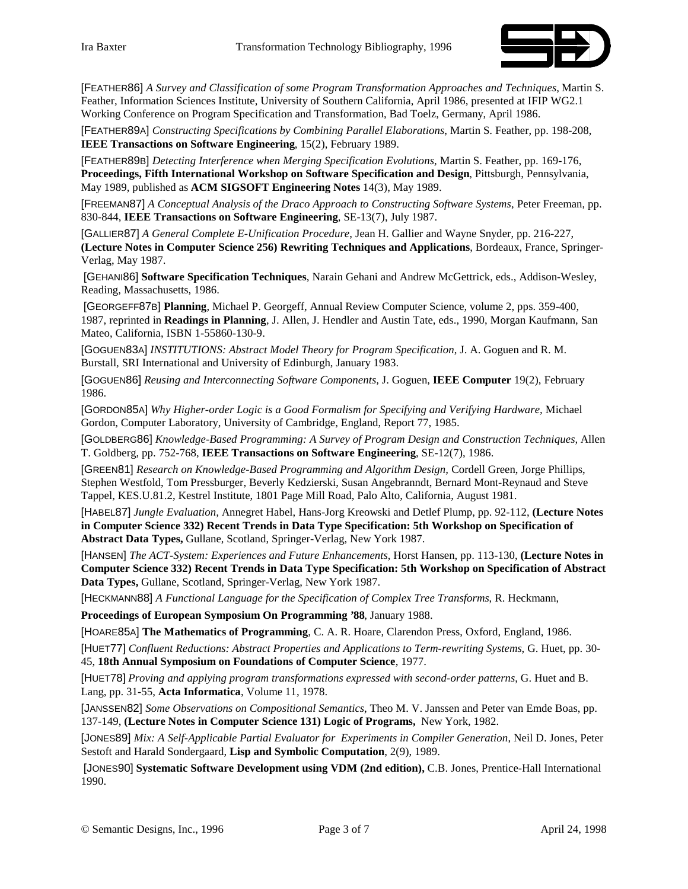

[FEATHER86] *A Survey and Classification of some Program Transformation Approaches and Techniques,* Martin S. Feather, Information Sciences Institute, University of Southern California, April 1986, presented at IFIP WG2.1 Working Conference on Program Specification and Transformation, Bad Toelz, Germany, April 1986.

[FEATHER89A] *Constructing Specifications by Combining Parallel Elaborations*, Martin S. Feather, pp. 198-208, **IEEE Transactions on Software Engineering**, 15(2), February 1989.

[FEATHER89B] *Detecting Interference when Merging Specification Evolutions,* Martin S. Feather, pp. 169-176, **Proceedings, Fifth International Workshop on Software Specification and Design**, Pittsburgh, Pennsylvania, May 1989, published as **ACM SIGSOFT Engineering Notes** 14(3), May 1989.

[FREEMAN87] *A Conceptual Analysis of the Draco Approach to Constructing Software Systems*, Peter Freeman, pp. 830-844, **IEEE Transactions on Software Engineering**, SE-13(7), July 1987.

[GALLIER87] *A General Complete E-Unification Procedure*, Jean H. Gallier and Wayne Snyder, pp. 216-227, **(Lecture Notes in Computer Science 256) Rewriting Techniques and Applications**, Bordeaux, France, Springer-Verlag, May 1987.

[GEHANI86] **Software Specification Techniques**, Narain Gehani and Andrew McGettrick, eds., Addison-Wesley, Reading, Massachusetts, 1986.

[GEORGEFF87B] **Planning**, Michael P. Georgeff, Annual Review Computer Science, volume 2, pps. 359-400, 1987, reprinted in **Readings in Planning**, J. Allen, J. Hendler and Austin Tate, eds., 1990, Morgan Kaufmann, San Mateo, California, ISBN 1-55860-130-9.

[GOGUEN83A] *INSTITUTIONS: Abstract Model Theory for Program Specification*, J. A. Goguen and R. M. Burstall, SRI International and University of Edinburgh, January 1983.

[GOGUEN86] *Reusing and Interconnecting Software Components,* J. Goguen, **IEEE Computer** 19(2), February 1986.

[GORDON85A] *Why Higher-order Logic is a Good Formalism for Specifying and Verifying Hardware,* Michael Gordon, Computer Laboratory, University of Cambridge, England, Report 77, 1985.

[GOLDBERG86] *Knowledge-Based Programming: A Survey of Program Design and Construction Techniques,* Allen T. Goldberg, pp. 752-768, **IEEE Transactions on Software Engineering**, SE-12(7), 1986.

[GREEN81] *Research on Knowledge-Based Programming and Algorithm Design, Cordell Green, Jorge Phillips,* Stephen Westfold, Tom Pressburger, Beverly Kedzierski, Susan Angebranndt, Bernard Mont-Reynaud and Steve Tappel, KES.U.81.2, Kestrel Institute, 1801 Page Mill Road, Palo Alto, California, August 1981.

[HABEL87] *Jungle Evaluation,* Annegret Habel, Hans-Jorg Kreowski and Detlef Plump, pp. 92-112, **(Lecture Notes in Computer Science 332) Recent Trends in Data Type Specification: 5th Workshop on Specification of Abstract Data Types,** Gullane, Scotland, Springer-Verlag, New York 1987.

[HANSEN] *The ACT-System: Experiences and Future Enhancements*, Horst Hansen, pp. 113-130, **(Lecture Notes in Computer Science 332) Recent Trends in Data Type Specification: 5th Workshop on Specification of Abstract Data Types,** Gullane, Scotland, Springer-Verlag, New York 1987.

[HECKMANN88] *A Functional Language for the Specification of Complex Tree Transforms*, R. Heckmann,

**Proceedings of European Symposium On Programming '88**, January 1988.

[HOARE85A] **The Mathematics of Programming**, C. A. R. Hoare, Clarendon Press, Oxford, England, 1986.

[HUET77] *Confluent Reductions: Abstract Properties and Applications to Term-rewriting Systems*, G. Huet, pp. 30- 45, **18th Annual Symposium on Foundations of Computer Science**, 1977.

[HUET78] *Proving and applying program transformations expressed with second-order patterns*, G. Huet and B. Lang, pp. 31-55, **Acta Informatica**, Volume 11, 1978.

[JANSSEN82] *Some Observations on Compositional Semantics*, Theo M. V. Janssen and Peter van Emde Boas, pp. 137-149, **(Lecture Notes in Computer Science 131) Logic of Programs,** New York, 1982.

[JONES89] *Mix: A Self-Applicable Partial Evaluator for Experiments in Compiler Generation*, Neil D. Jones, Peter Sestoft and Harald Sondergaard, **Lisp and Symbolic Computation**, 2(9), 1989.

[JONES90] **Systematic Software Development using VDM (2nd edition),** C.B. Jones, Prentice-Hall International 1990.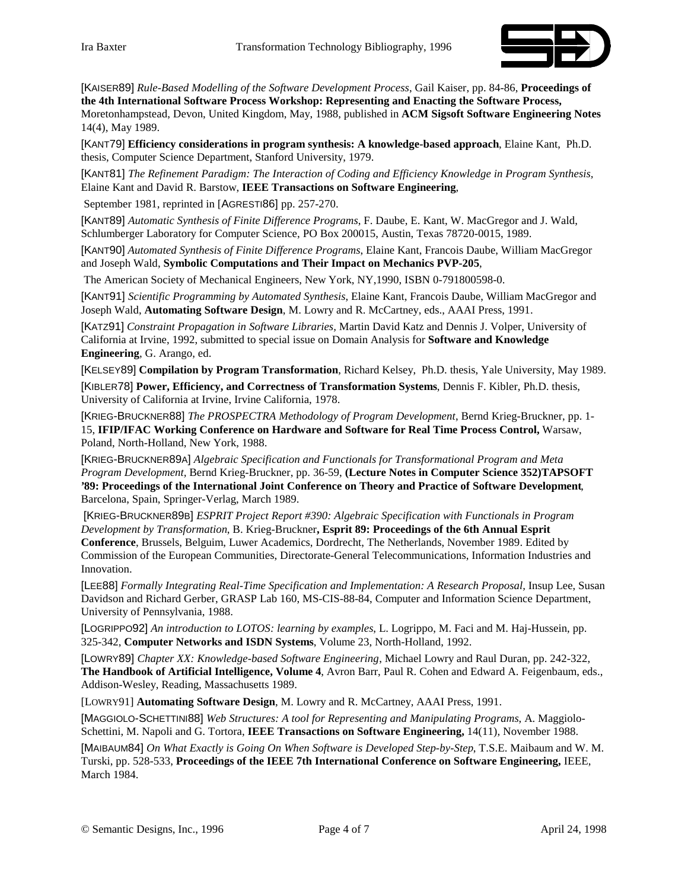

[KAISER89] *Rule-Based Modelling of the Software Development Process*, Gail Kaiser, pp. 84-86, **Proceedings of the 4th International Software Process Workshop: Representing and Enacting the Software Process,** Moretonhampstead, Devon, United Kingdom, May, 1988, published in **ACM Sigsoft Software Engineering Notes** 14(4), May 1989.

[KANT79] **Efficiency considerations in program synthesis: A knowledge-based approach**, Elaine Kant, Ph.D. thesis, Computer Science Department, Stanford University, 1979.

[KANT81] *The Refinement Paradigm: The Interaction of Coding and Efficiency Knowledge in Program Synthesis,* Elaine Kant and David R. Barstow, **IEEE Transactions on Software Engineering**,

September 1981, reprinted in [AGRESTI86] pp. 257-270.

[KANT89] *Automatic Synthesis of Finite Difference Programs*, F. Daube, E. Kant, W. MacGregor and J. Wald, Schlumberger Laboratory for Computer Science, PO Box 200015, Austin, Texas 78720-0015, 1989.

[KANT90] *Automated Synthesis of Finite Difference Programs*, Elaine Kant, Francois Daube, William MacGregor and Joseph Wald, **Symbolic Computations and Their Impact on Mechanics PVP-205**,

The American Society of Mechanical Engineers, New York, NY,1990, ISBN 0-791800598-0.

[KANT91] *Scientific Programming by Automated Synthesis*, Elaine Kant, Francois Daube, William MacGregor and Joseph Wald, **Automating Software Design**, M. Lowry and R. McCartney, eds., AAAI Press, 1991.

[KATZ91] *Constraint Propagation in Software Libraries,* Martin David Katz and Dennis J. Volper, University of California at Irvine, 1992, submitted to special issue on Domain Analysis for **Software and Knowledge Engineering**, G. Arango, ed.

[KELSEY89] **Compilation by Program Transformation**, Richard Kelsey, Ph.D. thesis, Yale University, May 1989.

[KIBLER78] **Power, Efficiency, and Correctness of Transformation Systems**, Dennis F. Kibler, Ph.D. thesis, University of California at Irvine, Irvine California, 1978.

[KRIEG-BRUCKNER88] *The PROSPECTRA Methodology of Program Development*, Bernd Krieg-Bruckner, pp. 1- 15, **IFIP/IFAC Working Conference on Hardware and Software for Real Time Process Control,** Warsaw, Poland, North-Holland, New York, 1988.

[KRIEG-BRUCKNER89A] *Algebraic Specification and Functionals for Transformational Program and Meta Program Development,* Bernd Krieg-Bruckner, pp. 36-59, **(Lecture Notes in Computer Science 352)TAPSOFT '89: Proceedings of the International Joint Conference on Theory and Practice of Software Development**, Barcelona, Spain, Springer-Verlag, March 1989.

[KRIEG-BRUCKNER89B] *ESPRIT Project Report #390: Algebraic Specification with Functionals in Program Development by Transformation*, B. Krieg-Bruckner**, Esprit 89: Proceedings of the 6th Annual Esprit Conference**, Brussels, Belguim, Luwer Academics, Dordrecht, The Netherlands, November 1989. Edited by Commission of the European Communities, Directorate-General Telecommunications, Information Industries and Innovation.

[LEE88] *Formally Integrating Real-Time Specification and Implementation: A Research Proposal,* Insup Lee, Susan Davidson and Richard Gerber, GRASP Lab 160, MS-CIS-88-84, Computer and Information Science Department, University of Pennsylvania, 1988.

[LOGRIPPO92] *An introduction to LOTOS: learning by examples*, L. Logrippo, M. Faci and M. Haj-Hussein, pp. 325-342, **Computer Networks and ISDN Systems**, Volume 23, North-Holland, 1992.

[LOWRY89] *Chapter XX: Knowledge-based Software Engineering*, Michael Lowry and Raul Duran, pp. 242-322, **The Handbook of Artificial Intelligence, Volume 4**, Avron Barr, Paul R. Cohen and Edward A. Feigenbaum, eds., Addison-Wesley, Reading, Massachusetts 1989.

[LOWRY91] **Automating Software Design**, M. Lowry and R. McCartney, AAAI Press, 1991.

[MAGGIOLO-SCHETTINI88] *Web Structures: A tool for Representing and Manipulating Programs*, A. Maggiolo-Schettini, M. Napoli and G. Tortora, **IEEE Transactions on Software Engineering,** 14(11), November 1988.

[MAIBAUM84] *On What Exactly is Going On When Software is Developed Step-by-Step*, T.S.E. Maibaum and W. M. Turski, pp. 528-533, **Proceedings of the IEEE 7th International Conference on Software Engineering,** IEEE, March 1984.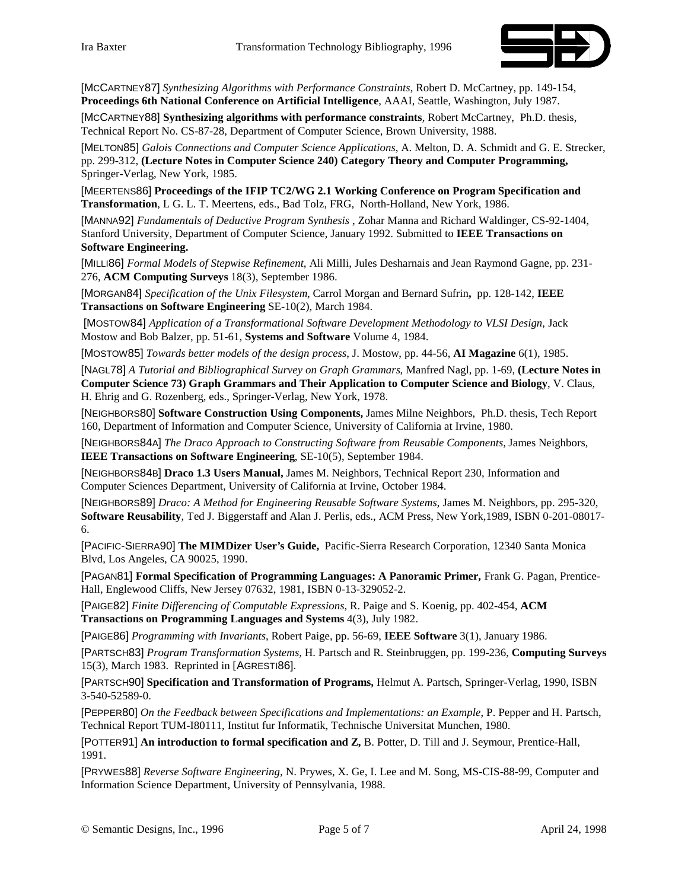

[MCCARTNEY87] *Synthesizing Algorithms with Performance Constraints*, Robert D. McCartney, pp. 149-154, **Proceedings 6th National Conference on Artificial Intelligence**, AAAI, Seattle, Washington, July 1987.

[MCCARTNEY88] **Synthesizing algorithms with performance constraints***,* Robert McCartney, Ph.D. thesis, Technical Report No. CS-87-28, Department of Computer Science, Brown University, 1988.

[MELTON85] *Galois Connections and Computer Science Applications*, A. Melton, D. A. Schmidt and G. E. Strecker, pp. 299-312, **(Lecture Notes in Computer Science 240) Category Theory and Computer Programming,** Springer-Verlag, New York, 1985.

[MEERTENS86] **Proceedings of the IFIP TC2/WG 2.1 Working Conference on Program Specification and Transformation**, L G. L. T. Meertens, eds., Bad Tolz, FRG, North-Holland, New York, 1986.

[MANNA92] *Fundamentals of Deductive Program Synthesis* , Zohar Manna and Richard Waldinger, CS-92-1404, Stanford University, Department of Computer Science, January 1992. Submitted to **IEEE Transactions on Software Engineering.**

[MILLI86] *Formal Models of Stepwise Refinement*, Ali Milli, Jules Desharnais and Jean Raymond Gagne, pp. 231- 276, **ACM Computing Surveys** 18(3), September 1986.

[MORGAN84] *Specification of the Unix Filesystem*, Carrol Morgan and Bernard Sufrin**,** pp. 128-142, **IEEE Transactions on Software Engineering** SE-10(2), March 1984.

[MOSTOW84] *Application of a Transformational Software Development Methodology to VLSI Design,* Jack Mostow and Bob Balzer, pp. 51-61, **Systems and Software** Volume 4, 1984.

[MOSTOW85] *Towards better models of the design process*, J. Mostow, pp. 44-56, **AI Magazine** 6(1), 1985.

[NAGL78] *A Tutorial and Bibliographical Survey on Graph Grammars*, Manfred Nagl, pp. 1-69, **(Lecture Notes in Computer Science 73) Graph Grammars and Their Application to Computer Science and Biology**, V. Claus, H. Ehrig and G. Rozenberg, eds., Springer-Verlag, New York, 1978.

[NEIGHBORS80] **Software Construction Using Components,** James Milne Neighbors, Ph.D. thesis, Tech Report 160, Department of Information and Computer Science, University of California at Irvine, 1980.

[NEIGHBORS84A] *The Draco Approach to Constructing Software from Reusable Components, James Neighbors,* **IEEE Transactions on Software Engineering**, SE-10(5), September 1984.

[NEIGHBORS84B] **Draco 1.3 Users Manual,** James M. Neighbors, Technical Report 230, Information and Computer Sciences Department, University of California at Irvine, October 1984.

[NEIGHBORS89] *Draco: A Method for Engineering Reusable Software Systems,* James M. Neighbors, pp. 295-320, **Software Reusability**, Ted J. Biggerstaff and Alan J. Perlis, eds., ACM Press, New York,1989, ISBN 0-201-08017- 6.

[PACIFIC-SIERRA90] **The MIMDizer User's Guide,** Pacific-Sierra Research Corporation, 12340 Santa Monica Blvd, Los Angeles, CA 90025, 1990.

[PAGAN81] **Formal Specification of Programming Languages: A Panoramic Primer,** Frank G. Pagan, Prentice-Hall, Englewood Cliffs, New Jersey 07632, 1981, ISBN 0-13-329052-2.

[PAIGE82] *Finite Differencing of Computable Expressions*, R. Paige and S. Koenig, pp. 402-454, **ACM Transactions on Programming Languages and Systems** 4(3), July 1982.

[PAIGE86] *Programming with Invariants*, Robert Paige, pp. 56-69, **IEEE Software** 3(1), January 1986.

[PARTSCH83] *Program Transformation Systems,* H. Partsch and R. Steinbruggen, pp. 199-236, **Computing Surveys** 15(3), March 1983. Reprinted in [AGRESTI86].

[PARTSCH90] **Specification and Transformation of Programs,** Helmut A. Partsch, Springer-Verlag, 1990, ISBN 3-540-52589-0.

[PEPPER80] *On the Feedback between Specifications and Implementations: an Example*, P. Pepper and H. Partsch, Technical Report TUM-I80111, Institut fur Informatik, Technische Universitat Munchen, 1980.

[POTTER91] **An introduction to formal specification and Z,** B. Potter, D. Till and J. Seymour, Prentice-Hall, 1991.

[PRYWES88] *Reverse Software Engineering,* N. Prywes, X. Ge, I. Lee and M. Song, MS-CIS-88-99, Computer and Information Science Department, University of Pennsylvania, 1988.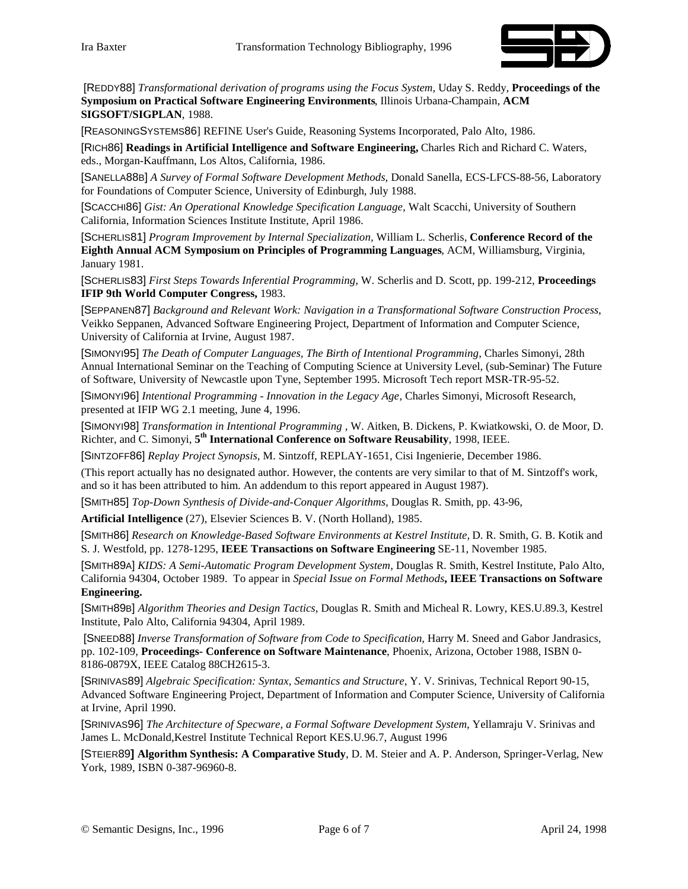

[REDDY88] *Transformational derivation of programs using the Focus System,* Uday S. Reddy, **Proceedings of the Symposium on Practical Software Engineering Environments**, Illinois Urbana-Champain, **ACM SIGSOFT/SIGPLAN**, 1988.

[REASONINGSYSTEMS86] REFINE User's Guide, Reasoning Systems Incorporated, Palo Alto, 1986.

[RICH86] **Readings in Artificial Intelligence and Software Engineering,** Charles Rich and Richard C. Waters, eds., Morgan-Kauffmann, Los Altos, California, 1986.

[SANELLA88B] *A Survey of Formal Software Development Methods,* Donald Sanella, ECS-LFCS-88-56, Laboratory for Foundations of Computer Science, University of Edinburgh, July 1988.

[SCACCHI86] *Gist: An Operational Knowledge Specification Language,* Walt Scacchi, University of Southern California, Information Sciences Institute Institute, April 1986.

[SCHERLIS81] *Program Improvement by Internal Specialization,* William L. Scherlis, **Conference Record of the Eighth Annual ACM Symposium on Principles of Programming Languages**, ACM, Williamsburg, Virginia, January 1981.

[SCHERLIS83] *First Steps Towards Inferential Programming,* W. Scherlis and D. Scott, pp. 199-212, **Proceedings IFIP 9th World Computer Congress,** 1983.

[SEPPANEN87] *Background and Relevant Work: Navigation in a Transformational Software Construction Process*, Veikko Seppanen, Advanced Software Engineering Project, Department of Information and Computer Science, University of California at Irvine, August 1987.

[SIMONYI95] *The Death of Computer Languages, The Birth of Intentional Programming*, Charles Simonyi, 28th Annual International Seminar on the Teaching of Computing Science at University Level, (sub-Seminar) The Future of Software, University of Newcastle upon Tyne, September 1995. Microsoft Tech report MSR-TR-95-52.

[SIMONYI96] *Intentional Programming - Innovation in the Legacy Age*, Charles Simonyi, Microsoft Research, presented at IFIP WG 2.1 meeting, June 4, 1996.

[SIMONYI98] *Transformation in Intentional Programming* , W. Aitken, B. Dickens, P. Kwiatkowski, O. de Moor, D. Richter, and C. Simonyi, **5th International Conference on Software Reusability**, 1998, IEEE.

[SINTZOFF86] *Replay Project Synopsis,* M. Sintzoff, REPLAY-1651, Cisi Ingenierie, December 1986.

(This report actually has no designated author. However, the contents are very similar to that of M. Sintzoff's work, and so it has been attributed to him. An addendum to this report appeared in August 1987).

[SMITH85] *Top-Down Synthesis of Divide-and-Conquer Algorithms,* Douglas R. Smith, pp. 43-96,

**Artificial Intelligence** (27), Elsevier Sciences B. V. (North Holland), 1985.

[SMITH86] *Research on Knowledge-Based Software Environments at Kestrel Institute,* D. R. Smith, G. B. Kotik and S. J. Westfold, pp. 1278-1295, **IEEE Transactions on Software Engineering** SE-11, November 1985.

[SMITH89A] *KIDS: A Semi-Automatic Program Development System*, Douglas R. Smith, Kestrel Institute, Palo Alto, California 94304, October 1989. To appear in *Special Issue on Formal Methods***, IEEE Transactions on Software Engineering.**

[SMITH89B] *Algorithm Theories and Design Tactics,* Douglas R. Smith and Micheal R. Lowry, KES.U.89.3, Kestrel Institute, Palo Alto, California 94304, April 1989.

[SNEED88] *Inverse Transformation of Software from Code to Specification*, Harry M. Sneed and Gabor Jandrasics, pp. 102-109, **Proceedings- Conference on Software Maintenance**, Phoenix, Arizona, October 1988, ISBN 0- 8186-0879X, IEEE Catalog 88CH2615-3.

[SRINIVAS89] *Algebraic Specification: Syntax, Semantics and Structure,* Y. V. Srinivas, Technical Report 90-15, Advanced Software Engineering Project, Department of Information and Computer Science, University of California at Irvine, April 1990.

[SRINIVAS96] *The Architecture of Specware, a Formal Software Development System*, Yellamraju V. Srinivas and James L. McDonald,Kestrel Institute Technical Report KES.U.96.7, August 1996

[STEIER89**] Algorithm Synthesis: A Comparative Study**, D. M. Steier and A. P. Anderson, Springer-Verlag, New York, 1989, ISBN 0-387-96960-8.